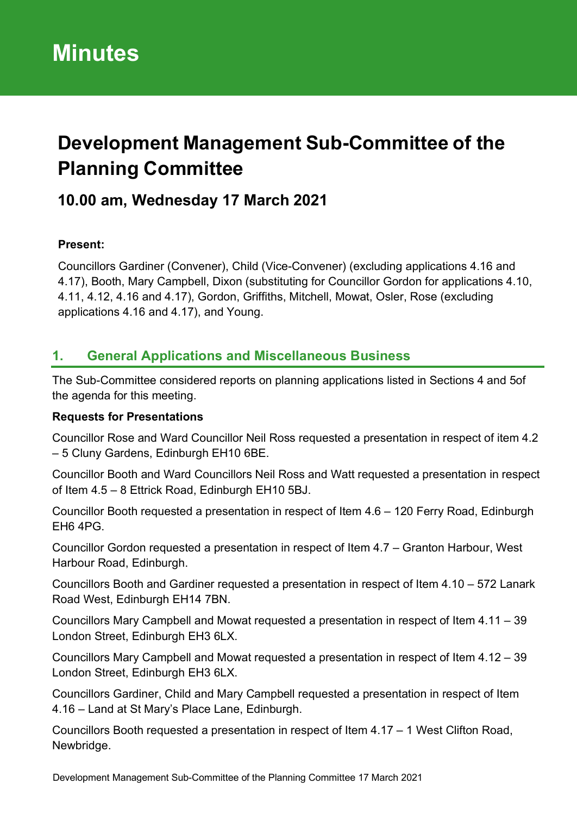# **Development Management Sub-Committee of the Planning Committee**

# **10.00 am, Wednesday 17 March 2021**

## **Present:**

Councillors Gardiner (Convener), Child (Vice-Convener) (excluding applications 4.16 and 4.17), Booth, Mary Campbell, Dixon (substituting for Councillor Gordon for applications 4.10, 4.11, 4.12, 4.16 and 4.17), Gordon, Griffiths, Mitchell, Mowat, Osler, Rose (excluding applications 4.16 and 4.17), and Young.

## **1. General Applications and Miscellaneous Business**

The Sub-Committee considered reports on planning applications listed in Sections 4 and 5of the agenda for this meeting.

## **Requests for Presentations**

Councillor Rose and Ward Councillor Neil Ross requested a presentation in respect of item 4.2 – 5 Cluny Gardens, Edinburgh EH10 6BE.

Councillor Booth and Ward Councillors Neil Ross and Watt requested a presentation in respect of Item 4.5 – 8 Ettrick Road, Edinburgh EH10 5BJ.

Councillor Booth requested a presentation in respect of Item 4.6 – 120 Ferry Road, Edinburgh EH6 4PG.

Councillor Gordon requested a presentation in respect of Item 4.7 – Granton Harbour, West Harbour Road, Edinburgh.

Councillors Booth and Gardiner requested a presentation in respect of Item 4.10 – 572 Lanark Road West, Edinburgh EH14 7BN.

Councillors Mary Campbell and Mowat requested a presentation in respect of Item 4.11 – 39 London Street, Edinburgh EH3 6LX.

Councillors Mary Campbell and Mowat requested a presentation in respect of Item 4.12 – 39 London Street, Edinburgh EH3 6LX.

Councillors Gardiner, Child and Mary Campbell requested a presentation in respect of Item 4.16 – Land at St Mary's Place Lane, Edinburgh.

Councillors Booth requested a presentation in respect of Item 4.17 – 1 West Clifton Road, Newbridge.

Development Management Sub-Committee of the Planning Committee 17 March 2021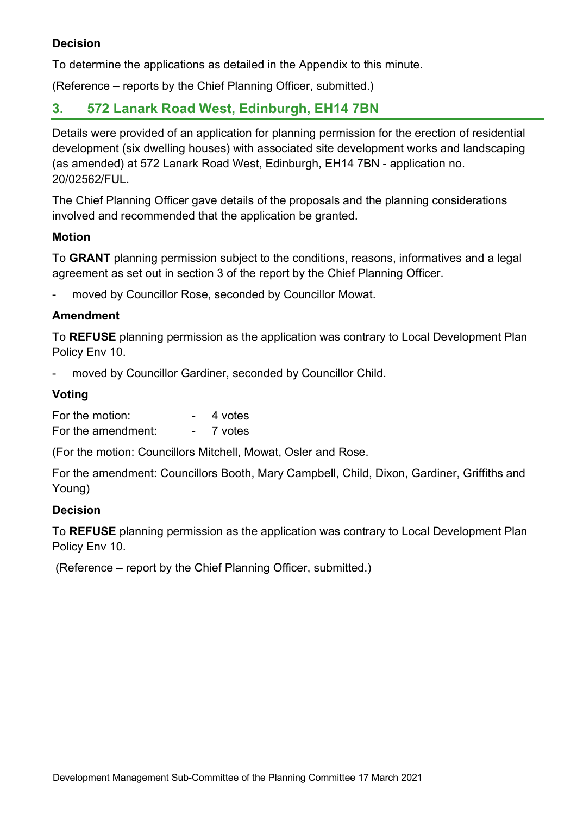## **Decision**

To determine the applications as detailed in the Appendix to this minute.

(Reference – reports by the Chief Planning Officer, submitted.)

## **3. 572 Lanark Road West, Edinburgh, EH14 7BN**

Details were provided of an application for planning permission for the erection of residential development (six dwelling houses) with associated site development works and landscaping (as amended) at 572 Lanark Road West, Edinburgh, EH14 7BN - application no. 20/02562/FUL.

The Chief Planning Officer gave details of the proposals and the planning considerations involved and recommended that the application be granted.

#### **Motion**

To **GRANT** planning permission subject to the conditions, reasons, informatives and a legal agreement as set out in section 3 of the report by the Chief Planning Officer.

moved by Councillor Rose, seconded by Councillor Mowat.

## **Amendment**

To **REFUSE** planning permission as the application was contrary to Local Development Plan Policy Env 10.

moved by Councillor Gardiner, seconded by Councillor Child.

## **Voting**

| For the motion:    | 4 votes |
|--------------------|---------|
| For the amendment: | 7 votes |

(For the motion: Councillors Mitchell, Mowat, Osler and Rose.

For the amendment: Councillors Booth, Mary Campbell, Child, Dixon, Gardiner, Griffiths and Young)

#### **Decision**

To **REFUSE** planning permission as the application was contrary to Local Development Plan Policy Env 10.

(Reference – report by the Chief Planning Officer, submitted.)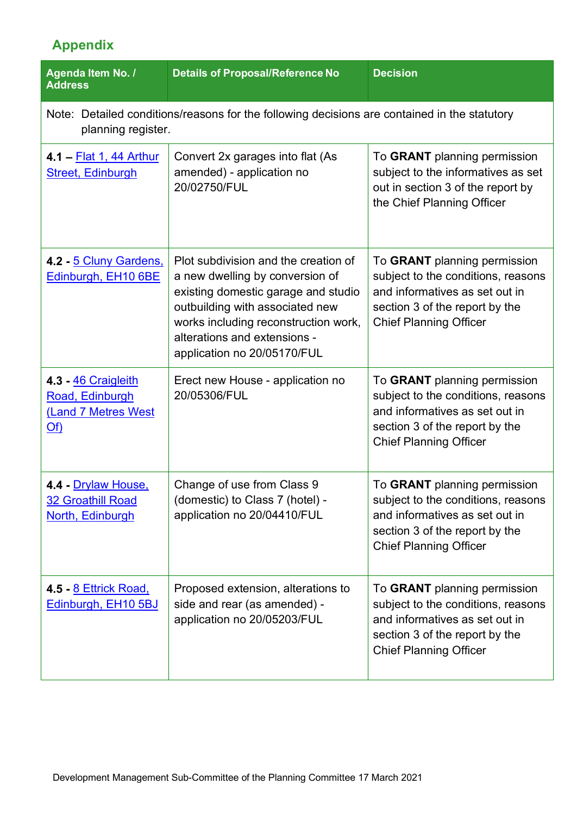# **Appendix**

| Agenda Item No. /<br><b>Address</b>                                                                                | <b>Details of Proposal/Reference No</b>                                                                                                                                                                                                                  | <b>Decision</b>                                                                                                                                                         |  |  |
|--------------------------------------------------------------------------------------------------------------------|----------------------------------------------------------------------------------------------------------------------------------------------------------------------------------------------------------------------------------------------------------|-------------------------------------------------------------------------------------------------------------------------------------------------------------------------|--|--|
| Note: Detailed conditions/reasons for the following decisions are contained in the statutory<br>planning register. |                                                                                                                                                                                                                                                          |                                                                                                                                                                         |  |  |
| 4.1 – Flat 1, 44 Arthur<br><b>Street, Edinburgh</b>                                                                | Convert 2x garages into flat (As<br>amended) - application no<br>20/02750/FUL                                                                                                                                                                            | To GRANT planning permission<br>subject to the informatives as set<br>out in section 3 of the report by<br>the Chief Planning Officer                                   |  |  |
| 4.2 - 5 Cluny Gardens,<br>Edinburgh, EH10 6BE                                                                      | Plot subdivision and the creation of<br>a new dwelling by conversion of<br>existing domestic garage and studio<br>outbuilding with associated new<br>works including reconstruction work,<br>alterations and extensions -<br>application no 20/05170/FUL | To GRANT planning permission<br>subject to the conditions, reasons<br>and informatives as set out in<br>section 3 of the report by the<br><b>Chief Planning Officer</b> |  |  |
| 4.3 46 Craigleith<br>Road, Edinburgh<br>(Land 7 Metres West<br><u>Of)</u>                                          | Erect new House - application no<br>20/05306/FUL                                                                                                                                                                                                         | To GRANT planning permission<br>subject to the conditions, reasons<br>and informatives as set out in<br>section 3 of the report by the<br><b>Chief Planning Officer</b> |  |  |
| 4.4 - Drylaw House,<br><b>32 Groathill Road</b><br>North, Edinburgh                                                | Change of use from Class 9<br>(domestic) to Class 7 (hotel) -<br>application no 20/04410/FUL                                                                                                                                                             | To GRANT planning permission<br>subject to the conditions, reasons<br>and informatives as set out in<br>section 3 of the report by the<br><b>Chief Planning Officer</b> |  |  |
| 4.5 - <u>8 Ettrick Road,</u><br>Edinburgh, EH10 5BJ                                                                | Proposed extension, alterations to<br>side and rear (as amended) -<br>application no 20/05203/FUL                                                                                                                                                        | To GRANT planning permission<br>subject to the conditions, reasons<br>and informatives as set out in<br>section 3 of the report by the<br><b>Chief Planning Officer</b> |  |  |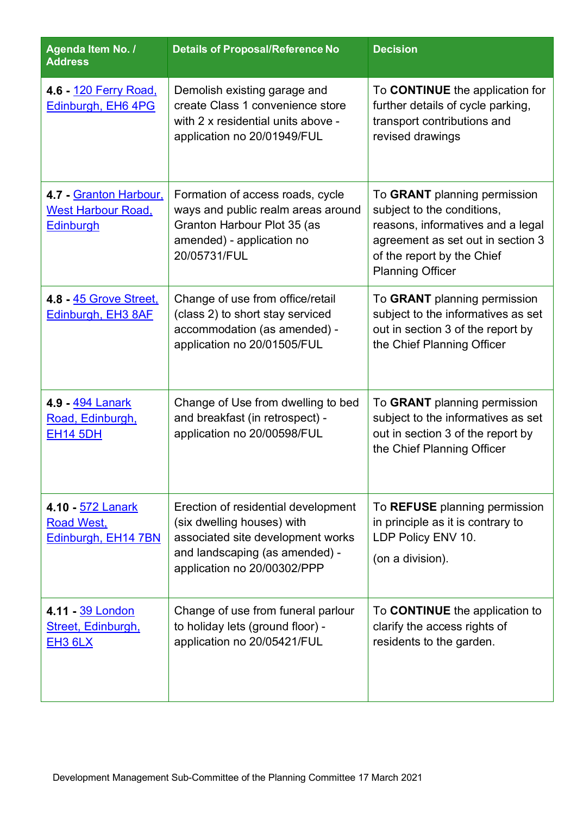| Agenda Item No. /<br><b>Address</b>                                     | <b>Details of Proposal/Reference No</b>                                                                                                                                 | <b>Decision</b>                                                                                                                                                                               |
|-------------------------------------------------------------------------|-------------------------------------------------------------------------------------------------------------------------------------------------------------------------|-----------------------------------------------------------------------------------------------------------------------------------------------------------------------------------------------|
| 4.6 - 120 Ferry Road,<br>Edinburgh, EH6 4PG                             | Demolish existing garage and<br>create Class 1 convenience store<br>with 2 x residential units above -<br>application no 20/01949/FUL                                   | To <b>CONTINUE</b> the application for<br>further details of cycle parking,<br>transport contributions and<br>revised drawings                                                                |
| 4.7 - Granton Harbour,<br><b>West Harbour Road,</b><br><b>Edinburgh</b> | Formation of access roads, cycle<br>ways and public realm areas around<br>Granton Harbour Plot 35 (as<br>amended) - application no<br>20/05731/FUL                      | To GRANT planning permission<br>subject to the conditions,<br>reasons, informatives and a legal<br>agreement as set out in section 3<br>of the report by the Chief<br><b>Planning Officer</b> |
| 4.8 - 45 Grove Street,<br>Edinburgh, EH3 8AF                            | Change of use from office/retail<br>(class 2) to short stay serviced<br>accommodation (as amended) -<br>application no 20/01505/FUL                                     | To GRANT planning permission<br>subject to the informatives as set<br>out in section 3 of the report by<br>the Chief Planning Officer                                                         |
| 4.9 - 494 Lanark<br>Road, Edinburgh,<br><b>EH14 5DH</b>                 | Change of Use from dwelling to bed<br>and breakfast (in retrospect) -<br>application no 20/00598/FUL                                                                    | To GRANT planning permission<br>subject to the informatives as set<br>out in section 3 of the report by<br>the Chief Planning Officer                                                         |
| 4.10 - 572 Lanark<br><b>Road West,</b><br>Edinburgh, EH14 7BN           | Erection of residential development<br>(six dwelling houses) with<br>associated site development works<br>and landscaping (as amended) -<br>application no 20/00302/PPP | To REFUSE planning permission<br>in principle as it is contrary to<br>LDP Policy ENV 10.<br>(on a division).                                                                                  |
| 4.11 39 London<br>Street, Edinburgh,<br><b>EH3 6LX</b>                  | Change of use from funeral parlour<br>to holiday lets (ground floor) -<br>application no 20/05421/FUL                                                                   | To <b>CONTINUE</b> the application to<br>clarify the access rights of<br>residents to the garden.                                                                                             |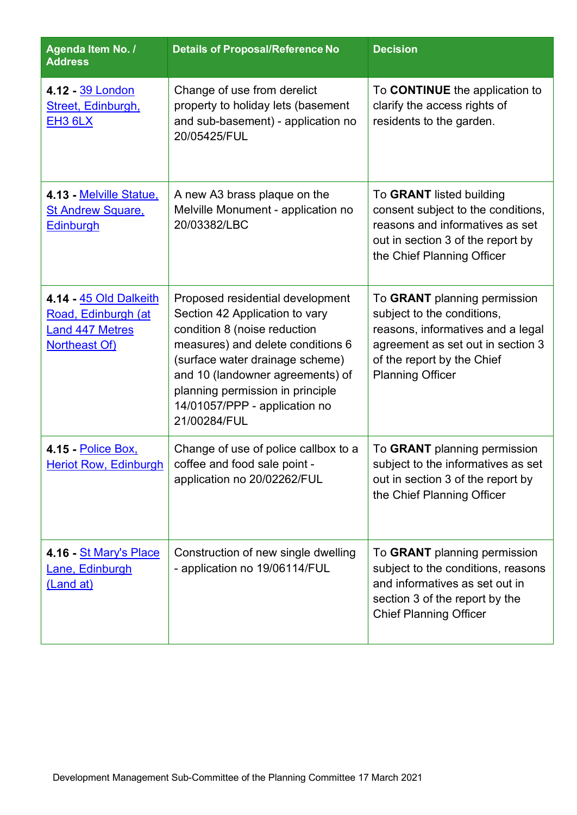| Agenda Item No. /<br><b>Address</b>                                                             | <b>Details of Proposal/Reference No</b>                                                                                                                                                                                                                                                             | <b>Decision</b>                                                                                                                                                                               |
|-------------------------------------------------------------------------------------------------|-----------------------------------------------------------------------------------------------------------------------------------------------------------------------------------------------------------------------------------------------------------------------------------------------------|-----------------------------------------------------------------------------------------------------------------------------------------------------------------------------------------------|
| 4.12 - 39 London<br>Street, Edinburgh,<br><b>EH3 6LX</b>                                        | Change of use from derelict<br>property to holiday lets (basement<br>and sub-basement) - application no<br>20/05425/FUL                                                                                                                                                                             | To <b>CONTINUE</b> the application to<br>clarify the access rights of<br>residents to the garden.                                                                                             |
| 4.13 - Melville Statue,<br><b>St Andrew Square,</b><br>Edinburgh                                | A new A3 brass plaque on the<br>Melville Monument - application no<br>20/03382/LBC                                                                                                                                                                                                                  | To GRANT listed building<br>consent subject to the conditions,<br>reasons and informatives as set<br>out in section 3 of the report by<br>the Chief Planning Officer                          |
| 4.14 - 45 Old Dalkeith<br>Road, Edinburgh (at<br><b>Land 447 Metres</b><br><b>Northeast Of)</b> | Proposed residential development<br>Section 42 Application to vary<br>condition 8 (noise reduction<br>measures) and delete conditions 6<br>(surface water drainage scheme)<br>and 10 (landowner agreements) of<br>planning permission in principle<br>14/01057/PPP - application no<br>21/00284/FUL | To GRANT planning permission<br>subject to the conditions,<br>reasons, informatives and a legal<br>agreement as set out in section 3<br>of the report by the Chief<br><b>Planning Officer</b> |
| 4.15 - Police Box,<br><b>Heriot Row, Edinburgh</b>                                              | Change of use of police callbox to a<br>coffee and food sale point -<br>application no 20/02262/FUL                                                                                                                                                                                                 | To GRANT planning permission<br>subject to the informatives as set<br>out in section 3 of the report by<br>the Chief Planning Officer                                                         |
| 4.16 - <u>St Mary's Place</u><br>Lane, Edinburgh<br>(Land at)                                   | Construction of new single dwelling<br>- application no 19/06114/FUL                                                                                                                                                                                                                                | To GRANT planning permission<br>subject to the conditions, reasons<br>and informatives as set out in<br>section 3 of the report by the<br><b>Chief Planning Officer</b>                       |